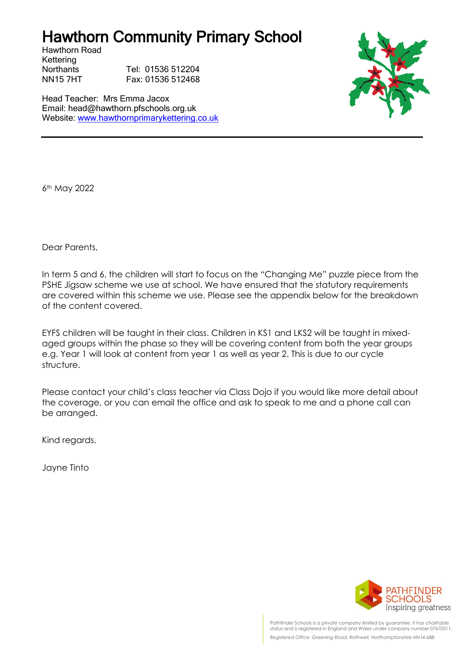## Hawthorn Community Primary School

Hawthorn Road Kettering

Northants Tel: 01536 512204 NN15 7HT Fax: 01536 512468

Head Teacher: Mrs Emma Jacox Email: head@hawthorn.pfschools.org.uk Website: [www.hawthornprimarykettering.co.uk](http://www.hawthornprimarykettering.co.uk/)



6th May 2022

Dear Parents,

In term 5 and 6, the children will start to focus on the "Changing Me" puzzle piece from the PSHE Jigsaw scheme we use at school. We have ensured that the statutory requirements are covered within this scheme we use. Please see the appendix below for the breakdown of the content covered.

EYFS children will be taught in their class. Children in KS1 and LKS2 will be taught in mixedaged groups within the phase so they will be covering content from both the year groups e.g. Year 1 will look at content from year 1 as well as year 2. This is due to our cycle structure.

Please contact your child's class teacher via Class Dojo if you would like more detail about the coverage, or you can email the office and ask to speak to me and a phone call can be arranged.

Kind regards,

Jayne Tinto

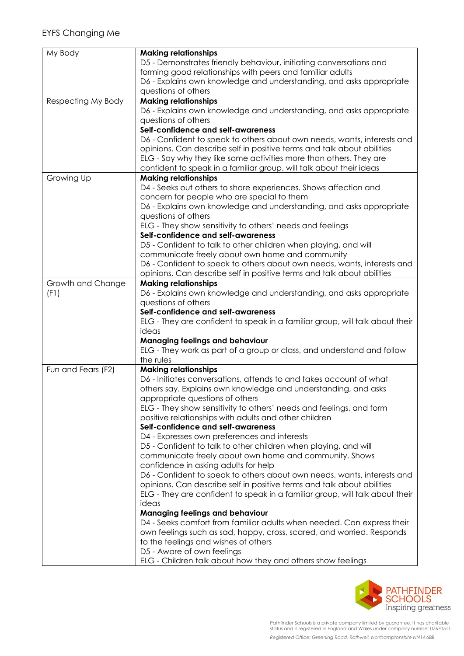| My Body            | <b>Making relationships</b>                                                  |  |  |
|--------------------|------------------------------------------------------------------------------|--|--|
|                    | D5 - Demonstrates friendly behaviour, initiating conversations and           |  |  |
|                    | forming good relationships with peers and familiar adults                    |  |  |
|                    | D6 - Explains own knowledge and understanding, and asks appropriate          |  |  |
|                    | questions of others                                                          |  |  |
| Respecting My Body | <b>Making relationships</b>                                                  |  |  |
|                    | D6 - Explains own knowledge and understanding, and asks appropriate          |  |  |
|                    | questions of others                                                          |  |  |
|                    | Self-confidence and self-awareness                                           |  |  |
|                    | D6 - Confident to speak to others about own needs, wants, interests and      |  |  |
|                    | opinions. Can describe self in positive terms and talk about abilities       |  |  |
|                    |                                                                              |  |  |
|                    | ELG - Say why they like some activities more than others. They are           |  |  |
|                    | confident to speak in a familiar group, will talk about their ideas          |  |  |
| Growing Up         | <b>Making relationships</b>                                                  |  |  |
|                    | D4 - Seeks out others to share experiences. Shows affection and              |  |  |
|                    | concern for people who are special to them                                   |  |  |
|                    | D6 - Explains own knowledge and understanding, and asks appropriate          |  |  |
|                    | questions of others                                                          |  |  |
|                    | ELG - They show sensitivity to others' needs and feelings                    |  |  |
|                    | Self-confidence and self-awareness                                           |  |  |
|                    | D5 - Confident to talk to other children when playing, and will              |  |  |
|                    | communicate freely about own home and community                              |  |  |
|                    | D6 - Confident to speak to others about own needs, wants, interests and      |  |  |
|                    | opinions. Can describe self in positive terms and talk about abilities       |  |  |
| Growth and Change  | <b>Making relationships</b>                                                  |  |  |
| (F1)               | D6 - Explains own knowledge and understanding, and asks appropriate          |  |  |
|                    | questions of others                                                          |  |  |
|                    | Self-confidence and self-awareness                                           |  |  |
|                    | ELG - They are confident to speak in a familiar group, will talk about their |  |  |
|                    | ideas                                                                        |  |  |
|                    | <b>Managing feelings and behaviour</b>                                       |  |  |
|                    | ELG - They work as part of a group or class, and understand and follow       |  |  |
|                    | the rules                                                                    |  |  |
|                    | <b>Making relationships</b>                                                  |  |  |
| Fun and Fears (F2) |                                                                              |  |  |
|                    | D6 - Initiates conversations, attends to and takes account of what           |  |  |
|                    | others say. Explains own knowledge and understanding, and asks               |  |  |
|                    | appropriate questions of others                                              |  |  |
|                    | ELG - They show sensitivity to others' needs and feelings, and form          |  |  |
|                    | positive relationships with adults and other children                        |  |  |
|                    | Self-confidence and self-awareness                                           |  |  |
|                    | D4 - Expresses own preferences and interests                                 |  |  |
|                    | D5 - Confident to talk to other children when playing, and will              |  |  |
|                    | communicate freely about own home and community. Shows                       |  |  |
|                    | confidence in asking adults for help                                         |  |  |
|                    | D6 - Confident to speak to others about own needs, wants, interests and      |  |  |
|                    | opinions. Can describe self in positive terms and talk about abilities       |  |  |
|                    | ELG - They are confident to speak in a familiar group, will talk about their |  |  |
|                    | ideas                                                                        |  |  |
|                    | <b>Managing feelings and behaviour</b>                                       |  |  |
|                    | D4 - Seeks comfort from familiar adults when needed. Can express their       |  |  |
|                    | own feelings such as sad, happy, cross, scared, and worried. Responds        |  |  |
|                    | to the feelings and wishes of others                                         |  |  |
|                    | D5 - Aware of own feelings                                                   |  |  |
|                    | ELG - Children talk about how they and others show feelings                  |  |  |
|                    |                                                                              |  |  |

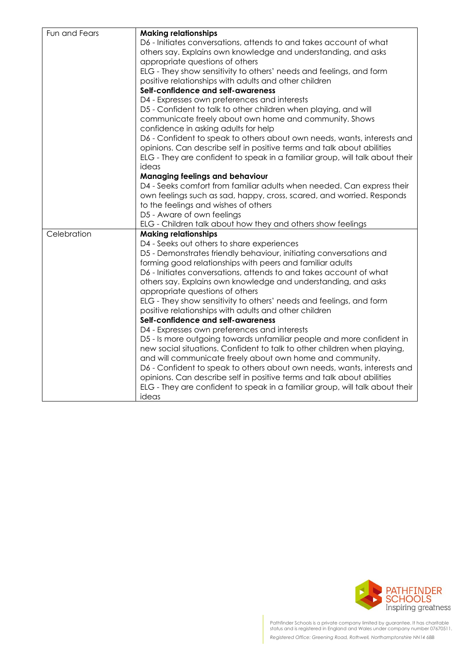| <b>Making relationships</b>                                                                                                                           |  |  |  |                                                        |
|-------------------------------------------------------------------------------------------------------------------------------------------------------|--|--|--|--------------------------------------------------------|
| D6 - Initiates conversations, attends to and takes account of what                                                                                    |  |  |  |                                                        |
| others say. Explains own knowledge and understanding, and asks                                                                                        |  |  |  |                                                        |
| appropriate questions of others                                                                                                                       |  |  |  |                                                        |
| ELG - They show sensitivity to others' needs and feelings, and form                                                                                   |  |  |  |                                                        |
| positive relationships with adults and other children                                                                                                 |  |  |  |                                                        |
| Self-confidence and self-awareness<br>D4 - Expresses own preferences and interests<br>D5 - Confident to talk to other children when playing, and will |  |  |  |                                                        |
|                                                                                                                                                       |  |  |  | communicate freely about own home and community. Shows |
|                                                                                                                                                       |  |  |  | confidence in asking adults for help                   |
| D6 - Confident to speak to others about own needs, wants, interests and                                                                               |  |  |  |                                                        |
| opinions. Can describe self in positive terms and talk about abilities                                                                                |  |  |  |                                                        |
| ELG - They are confident to speak in a familiar group, will talk about their                                                                          |  |  |  |                                                        |
| ideas                                                                                                                                                 |  |  |  |                                                        |
| <b>Managing feelings and behaviour</b>                                                                                                                |  |  |  |                                                        |
| D4 - Seeks comfort from familiar adults when needed. Can express their                                                                                |  |  |  |                                                        |
| own feelings such as sad, happy, cross, scared, and worried. Responds                                                                                 |  |  |  |                                                        |
| to the feelings and wishes of others                                                                                                                  |  |  |  |                                                        |
| D5 - Aware of own feelings                                                                                                                            |  |  |  |                                                        |
| ELG - Children talk about how they and others show feelings                                                                                           |  |  |  |                                                        |
| <b>Making relationships</b>                                                                                                                           |  |  |  |                                                        |
| D4 - Seeks out others to share experiences                                                                                                            |  |  |  |                                                        |
| D5 - Demonstrates friendly behaviour, initiating conversations and                                                                                    |  |  |  |                                                        |
| forming good relationships with peers and familiar adults                                                                                             |  |  |  |                                                        |
| D6 - Initiates conversations, attends to and takes account of what                                                                                    |  |  |  |                                                        |
| others say. Explains own knowledge and understanding, and asks                                                                                        |  |  |  |                                                        |
| appropriate questions of others                                                                                                                       |  |  |  |                                                        |
| ELG - They show sensitivity to others' needs and feelings, and form                                                                                   |  |  |  |                                                        |
| positive relationships with adults and other children                                                                                                 |  |  |  |                                                        |
| Self-confidence and self-awareness                                                                                                                    |  |  |  |                                                        |
| D4 - Expresses own preferences and interests                                                                                                          |  |  |  |                                                        |
| D5 - Is more outgoing towards unfamiliar people and more confident in                                                                                 |  |  |  |                                                        |
| new social situations. Confident to talk to other children when playing,                                                                              |  |  |  |                                                        |
| and will communicate freely about own home and community.                                                                                             |  |  |  |                                                        |
| D6 - Confident to speak to others about own needs, wants, interests and                                                                               |  |  |  |                                                        |
| opinions. Can describe self in positive terms and talk about abilities                                                                                |  |  |  |                                                        |
| ELG - They are confident to speak in a familiar group, will talk about their                                                                          |  |  |  |                                                        |
| ideas                                                                                                                                                 |  |  |  |                                                        |
|                                                                                                                                                       |  |  |  |                                                        |

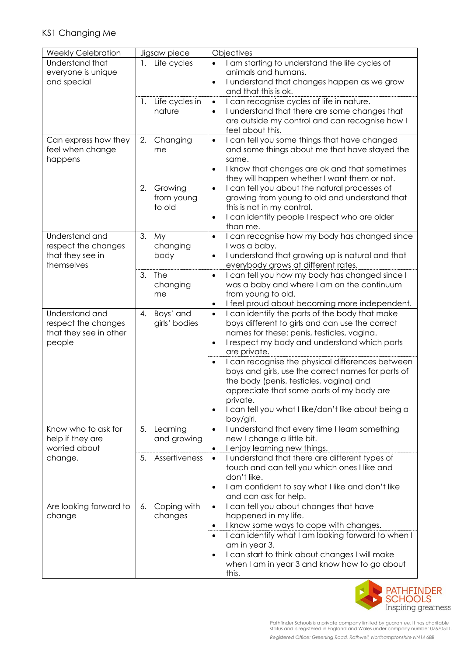## KS1 Changing Me

| <b>Weekly Celebration</b> | Jigsaw piece         | Objectives                                                                   |
|---------------------------|----------------------|------------------------------------------------------------------------------|
| Understand that           | 1. Life cycles       | I am starting to understand the life cycles of                               |
| everyone is unique        |                      | animals and humans.                                                          |
| and special               |                      | I understand that changes happen as we grow<br>$\bullet$                     |
|                           |                      | and that this is ok.                                                         |
|                           | Life cycles in<br>1. | I can recognise cycles of life in nature.<br>$\bullet$                       |
|                           | nature               | I understand that there are some changes that<br>$\bullet$                   |
|                           |                      | are outside my control and can recognise how I                               |
|                           |                      | feel about this.                                                             |
| Can express how they      | 2.<br>Changing       | I can tell you some things that have changed<br>$\bullet$                    |
| feel when change          | me                   | and some things about me that have stayed the                                |
| happens                   |                      | same.<br>I know that changes are ok and that sometimes<br>$\bullet$          |
|                           |                      | they will happen whether I want them or not.                                 |
|                           | Growing<br>2.        | I can tell you about the natural processes of<br>$\bullet$                   |
|                           | from young           | growing from young to old and understand that                                |
|                           | to old               | this is not in my control.                                                   |
|                           |                      | I can identify people I respect who are older<br>$\bullet$                   |
|                           |                      | than me.                                                                     |
| Understand and            | 3.<br>My             | I can recognise how my body has changed since<br>$\bullet$                   |
| respect the changes       | changing             | I was a baby.                                                                |
| that they see in          | body                 | I understand that growing up is natural and that<br>$\bullet$                |
| themselves                |                      | everybody grows at different rates.                                          |
|                           | <b>The</b><br>3.     | I can tell you how my body has changed since I<br>$\bullet$                  |
|                           | changing             | was a baby and where I am on the continuum                                   |
|                           | me                   | from young to old.                                                           |
|                           |                      | I feel proud about becoming more independent.<br>$\bullet$                   |
| Understand and            | Boys' and<br>4.      | I can identify the parts of the body that make<br>$\bullet$                  |
| respect the changes       | girls' bodies        | boys different to girls and can use the correct                              |
| that they see in other    |                      | names for these: penis, testicles, vagina.                                   |
| people                    |                      | I respect my body and understand which parts<br>$\bullet$<br>are private.    |
|                           |                      | I can recognise the physical differences between<br>$\bullet$                |
|                           |                      | boys and girls, use the correct names for parts of                           |
|                           |                      | the body (penis, testicles, vagina) and                                      |
|                           |                      | appreciate that some parts of my body are                                    |
|                           |                      | private.                                                                     |
|                           |                      | I can tell you what I like/don't like about being a<br>$\bullet$             |
|                           |                      | boy/girl.                                                                    |
| Know who to ask for       | Learning<br>5.       | I understand that every time I learn something<br>$\bullet$                  |
| help if they are          | and growing          | new I change a little bit.                                                   |
| worried about             |                      | I enjoy learning new things.<br>٠                                            |
| change.                   | Assertiveness<br>5.  | I understand that there are different types of<br>$\bullet$                  |
|                           |                      | touch and can tell you which ones I like and                                 |
|                           |                      | don't like.                                                                  |
|                           |                      | I am confident to say what I like and don't like<br>$\bullet$                |
| Are looking forward to    | Coping with<br>6.    | and can ask for help.<br>I can tell you about changes that have<br>$\bullet$ |
| change                    | changes              | happened in my life.                                                         |
|                           |                      | I know some ways to cope with changes.<br>$\bullet$                          |
|                           |                      | I can identify what I am looking forward to when I<br>$\bullet$              |
|                           |                      | am in year 3.                                                                |
|                           |                      | I can start to think about changes I will make<br>$\bullet$                  |
|                           |                      | when I am in year 3 and know how to go about                                 |
|                           |                      | this.                                                                        |

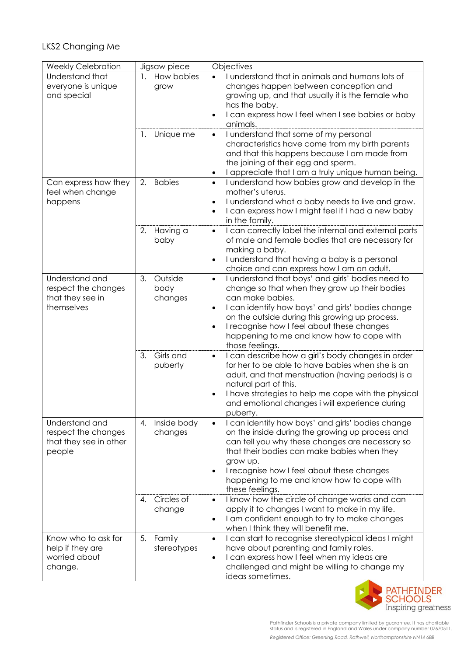## LKS2 Changing Me

| <b>Weekly Celebration</b>                                                 | Jigsaw piece                     | Objectives                                                                                                                                                                                                                                                                                                                                                                         |
|---------------------------------------------------------------------------|----------------------------------|------------------------------------------------------------------------------------------------------------------------------------------------------------------------------------------------------------------------------------------------------------------------------------------------------------------------------------------------------------------------------------|
| Understand that<br>everyone is unique<br>and special                      | How babies<br>1.<br>grow         | I understand that in animals and humans lots of<br>changes happen between conception and<br>growing up, and that usually it is the female who<br>has the baby.<br>I can express how I feel when I see babies or baby<br>$\bullet$<br>animals.                                                                                                                                      |
|                                                                           | 1. Unique me                     | I understand that some of my personal<br>$\bullet$<br>characteristics have come from my birth parents<br>and that this happens because I am made from<br>the joining of their egg and sperm.<br>I appreciate that I am a truly unique human being.<br>٠                                                                                                                            |
| Can express how they<br>feel when change<br>happens                       | 2.<br><b>Babies</b>              | I understand how babies grow and develop in the<br>$\bullet$<br>mother's uterus.<br>I understand what a baby needs to live and grow.<br>$\bullet$<br>I can express how I might feel if I had a new baby<br>$\bullet$<br>in the family.                                                                                                                                             |
|                                                                           | Having a<br>2.<br>baby           | I can correctly label the internal and external parts<br>$\bullet$<br>of male and female bodies that are necessary for<br>making a baby.<br>I understand that having a baby is a personal<br>$\bullet$<br>choice and can express how I am an adult.                                                                                                                                |
| Understand and<br>respect the changes<br>that they see in<br>themselves   | Outside<br>3.<br>body<br>changes | I understand that boys' and girls' bodies need to<br>$\bullet$<br>change so that when they grow up their bodies<br>can make babies.<br>I can identify how boys' and girls' bodies change<br>$\bullet$<br>on the outside during this growing up process.<br>I recognise how I feel about these changes<br>$\bullet$<br>happening to me and know how to cope with<br>those feelings. |
|                                                                           | Girls and<br>3.<br>puberty       | I can describe how a girl's body changes in order<br>$\bullet$<br>for her to be able to have babies when she is an<br>adult, and that menstruation (having periods) is a<br>natural part of this.<br>I have strategies to help me cope with the physical<br>$\bullet$<br>and emotional changes i will experience during<br>puberty.                                                |
| Understand and<br>respect the changes<br>that they see in other<br>people | Inside body<br>4.<br>changes     | I can identify how boys' and girls' bodies change<br>$\bullet$<br>on the inside during the growing up process and<br>can tell you why these changes are necessary so<br>that their bodies can make babies when they<br>grow up.<br>I recognise how I feel about these changes<br>$\bullet$<br>happening to me and know how to cope with<br>these feelings.                         |
|                                                                           | Circles of<br>4.<br>change       | I know how the circle of change works and can<br>$\bullet$<br>apply it to changes I want to make in my life.<br>I am confident enough to try to make changes<br>$\bullet$<br>when I think they will benefit me.                                                                                                                                                                    |
| Know who to ask for<br>help if they are<br>worried about<br>change.       | Family<br>5.<br>stereotypes      | I can start to recognise stereotypical ideas I might<br>$\bullet$<br>have about parenting and family roles.<br>I can express how I feel when my ideas are<br>$\bullet$<br>challenged and might be willing to change my<br>ideas sometimes.                                                                                                                                         |